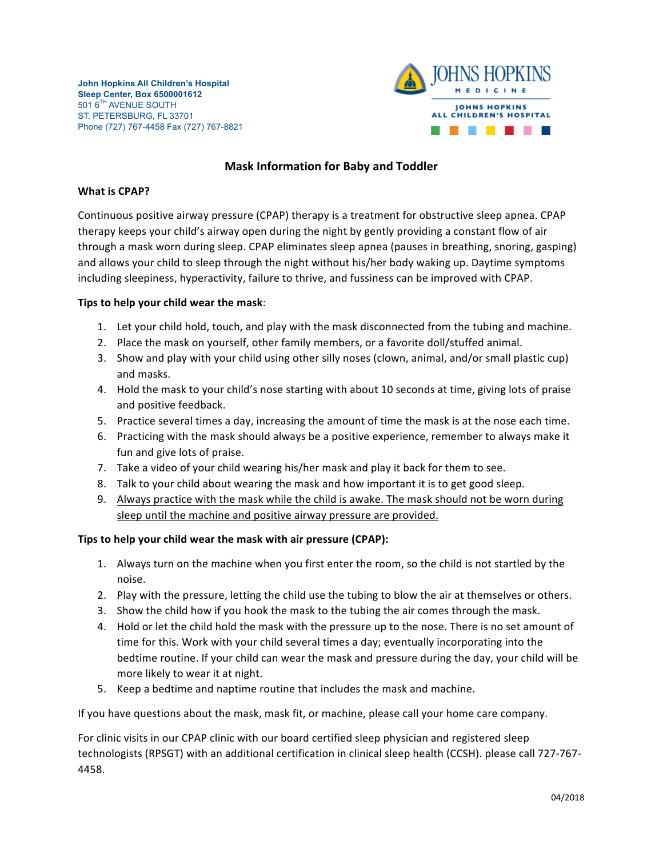

## **Mask Information for Baby and Toddler**

## **What is CPAP?**

Continuous positive airway pressure (CPAP) therapy is a treatment for obstructive sleep apnea. CPAP therapy keeps your child's airway open during the night by gently providing a constant flow of air through a mask worn during sleep. CPAP eliminates sleep apnea (pauses in breathing, snoring, gasping) and allows your child to sleep through the night without his/her body waking up. Daytime symptoms including sleepiness, hyperactivity, failure to thrive, and fussiness can be improved with CPAP.

## **Tips to help your child wear the mask**:

- 1. Let your child hold, touch, and play with the mask disconnected from the tubing and machine.
- 2. Place the mask on yourself, other family members, or a favorite doll/stuffed animal.
- 3. Show and play with your child using other silly noses (clown, animal, and/or small plastic cup) and masks.
- 4. Hold the mask to your child's nose starting with about 10 seconds at time, giving lots of praise and positive feedback.
- 5. Practice several times a day, increasing the amount of time the mask is at the nose each time.
- 6. Practicing with the mask should always be a positive experience, remember to always make it fun and give lots of praise.
- 7. Take a video of your child wearing his/her mask and play it back for them to see.
- 8. Talk to your child about wearing the mask and how important it is to get good sleep.
- 9. Always practice with the mask while the child is awake. The mask should not be worn during sleep until the machine and positive airway pressure are provided.

## Tips to help your child wear the mask with air pressure (CPAP):

- 1. Always turn on the machine when you first enter the room, so the child is not startled by the noise.
- 2. Play with the pressure, letting the child use the tubing to blow the air at themselves or others.
- 3. Show the child how if you hook the mask to the tubing the air comes through the mask.
- 4. Hold or let the child hold the mask with the pressure up to the nose. There is no set amount of time for this. Work with your child several times a day; eventually incorporating into the bedtime routine. If your child can wear the mask and pressure during the day, your child will be more likely to wear it at night.
- 5. Keep a bedtime and naptime routine that includes the mask and machine.

If you have questions about the mask, mask fit, or machine, please call your home care company.

For clinic visits in our CPAP clinic with our board certified sleep physician and registered sleep technologists (RPSGT) with an additional certification in clinical sleep health (CCSH). please call 727-767-4458.